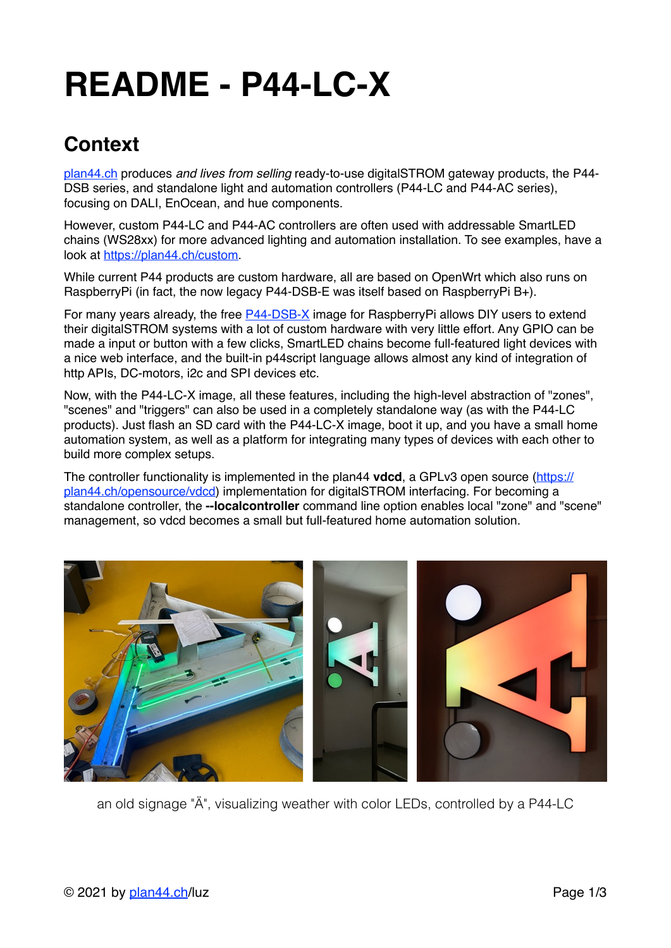# **README - P44-LC-X**

## **Context**

[plan44.ch](http://plan44.ch/automation) produces *and lives from selling* ready-to-use digitalSTROM gateway products, the P44- DSB series, and standalone light and automation controllers (P44-LC and P44-AC series), focusing on DALI, EnOcean, and hue components.

However, custom P44-LC and P44-AC controllers are often used with addressable SmartLED chains (WS28xx) for more advanced lighting and automation installation. To see examples, have a look at<https://plan44.ch/custom>.

While current P44 products are custom hardware, all are based on OpenWrt which also runs on RaspberryPi (in fact, the now legacy P44-DSB-E was itself based on RaspberryPi B+).

For many years already, the free [P44-DSB-X](https://plan44.ch/automation/p44-dsb-x.php) image for RaspberryPi allows DIY users to extend their digitalSTROM systems with a lot of custom hardware with very little effort. Any GPIO can be made a input or button with a few clicks, SmartLED chains become full-featured light devices with a nice web interface, and the built-in p44script language allows almost any kind of integration of http APIs, DC-motors, i2c and SPI devices etc.

Now, with the P44-LC-X image, all these features, including the high-level abstraction of "zones", "scenes" and "triggers" can also be used in a completely standalone way (as with the P44-LC products). Just flash an SD card with the P44-LC-X image, boot it up, and you have a small home automation system, as well as a platform for integrating many types of devices with each other to build more complex setups.

The controller functionality is implemented in the plan44 **vdcd**, a GPLv3 open source [\(https://](https://plan44.ch/opensource/vdcd) [plan44.ch/opensource/vdcd](https://plan44.ch/opensource/vdcd)) implementation for digitalSTROM interfacing. For becoming a standalone controller, the **--localcontroller** command line option enables local "zone" and "scene" management, so vdcd becomes a small but full-featured home automation solution.



an old signage "Ä", visualizing weather with color LEDs, controlled by a P44-LC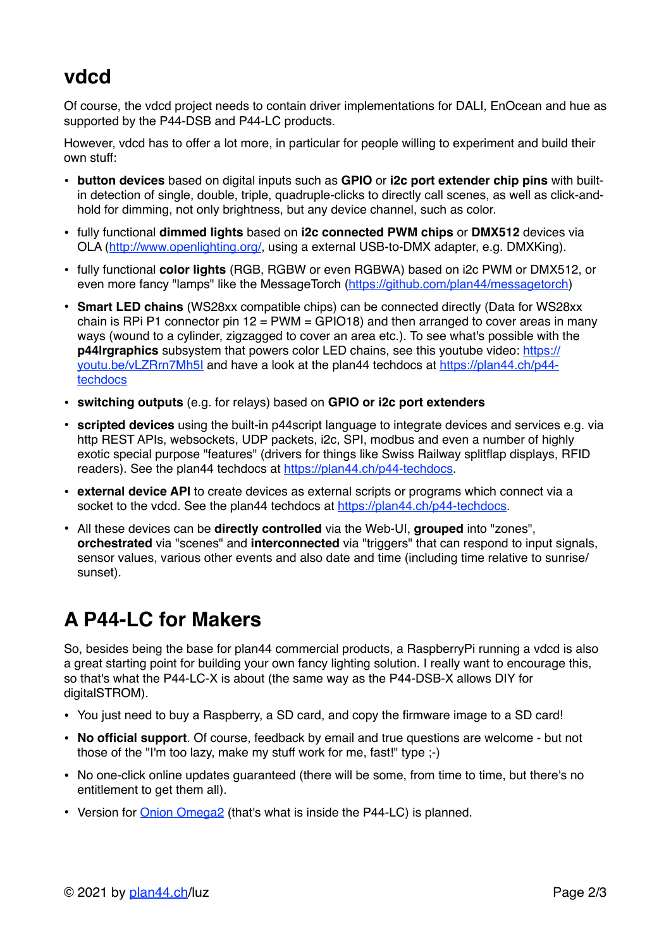## **vdcd**

Of course, the vdcd project needs to contain driver implementations for DALI, EnOcean and hue as supported by the P44-DSB and P44-LC products.

However, vdcd has to offer a lot more, in particular for people willing to experiment and build their own stuff:

- **button devices** based on digital inputs such as **GPIO** or **i2c port extender chip pins** with builtin detection of single, double, triple, quadruple-clicks to directly call scenes, as well as click-andhold for dimming, not only brightness, but any device channel, such as color.
- fully functional **dimmed lights** based on **i2c connected PWM chips** or **DMX512** devices via OLA ([http://www.openlighting.org/,](http://www.openlighting.org/) using a external USB-to-DMX adapter, e.g. DMXKing).
- fully functional **color lights** (RGB, RGBW or even RGBWA) based on i2c PWM or DMX512, or even more fancy "lamps" like the MessageTorch [\(https://github.com/plan44/messagetorch](https://github.com/plan44/messagetorch))
- **Smart LED chains** (WS28xx compatible chips) can be connected directly (Data for WS28xx chain is RPi P1 connector pin  $12 = PWM = GPIO18$  and then arranged to cover areas in many ways (wound to a cylinder, zigzagged to cover an area etc.). To see what's possible with the **p44lrgraphics** subsystem that powers color LED chains, see this youtube video: [https://](https://youtu.be/vLZRrn7Mh5I) [youtu.be/vLZRrn7Mh5I](https://youtu.be/vLZRrn7Mh5I) and have a look at the plan44 techdocs at [https://plan44.ch/p44](https://plan44.ch/p44-techdocs) [techdocs](https://plan44.ch/p44-techdocs)
- **switching outputs** (e.g. for relays) based on **GPIO or i2c port extenders**
- **scripted devices** using the built-in p44script language to integrate devices and services e.g. via http REST APIs, websockets, UDP packets, i2c, SPI, modbus and even a number of highly exotic special purpose "features" (drivers for things like Swiss Railway splitflap displays, RFID readers). See the plan44 techdocs at [https://plan44.ch/p44-techdocs.](https://plan44.ch/p44-techdocs)
- **external device API** to create devices as external scripts or programs which connect via a socket to the vdcd. See the plan44 techdocs at [https://plan44.ch/p44-techdocs.](https://plan44.ch/p44-techdocs)
- All these devices can be **directly controlled** via the Web-UI, **grouped** into "zones", **orchestrated** via "scenes" and **interconnected** via "triggers" that can respond to input signals, sensor values, various other events and also date and time (including time relative to sunrise/ sunset).

## **A P44-LC for Makers**

So, besides being the base for plan44 commercial products, a RaspberryPi running a vdcd is also a great starting point for building your own fancy lighting solution. I really want to encourage this, so that's what the P44-LC-X is about (the same way as the P44-DSB-X allows DIY for digitalSTROM).

- You just need to buy a Raspberry, a SD card, and copy the firmware image to a SD card!
- **No official support**. Of course, feedback by email and true questions are welcome but not those of the "I'm too lazy, make my stuff work for me, fast!" type ;-)
- No one-click online updates guaranteed (there will be some, from time to time, but there's no entitlement to get them all).
- Version for [Onion Omega2](https://onion.io/omega2) (that's what is inside the P44-LC) is planned.